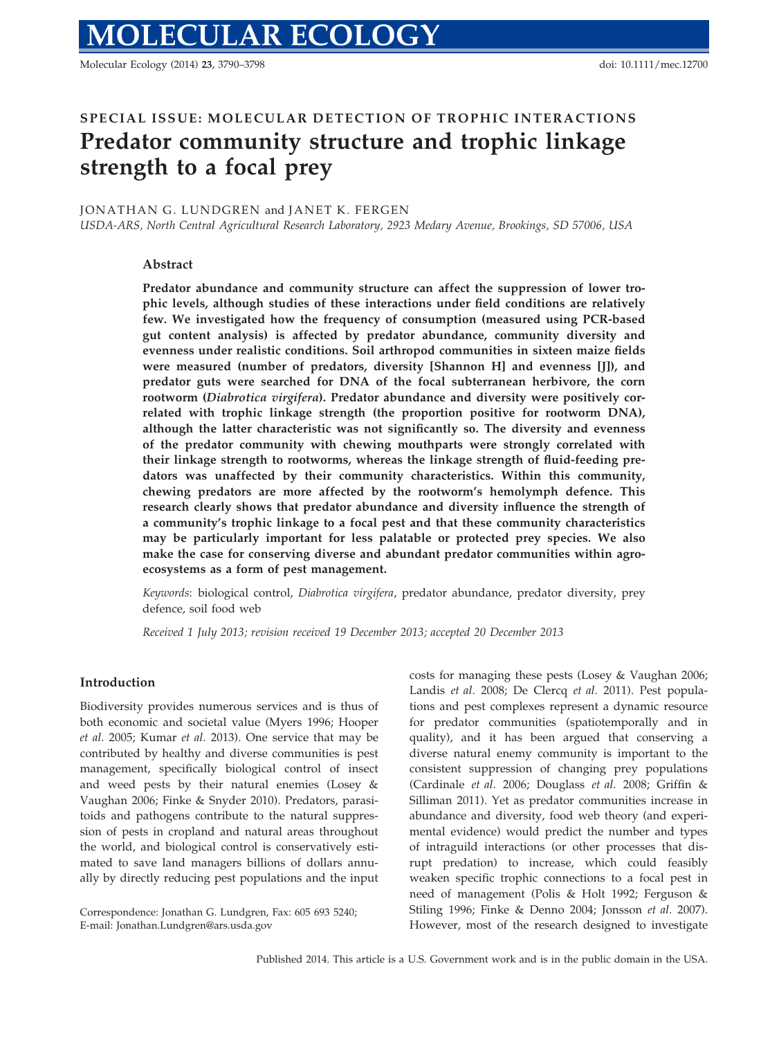Molecular Ecology (2014) 23, 3790–3798 doi: 10.1111/mec.12700

# SPECIAL ISSUE: MOLECULAR DETECTION OF TROPHIC INTERACTIONS Predator community structure and trophic linkage strength to a focal prey

## JONATHAN G. LUNDGREN and JANET K. FERGEN

USDA-ARS, North Central Agricultural Research Laboratory, 2923 Medary Avenue, Brookings, SD 57006, USA

## Abstract

Predator abundance and community structure can affect the suppression of lower trophic levels, although studies of these interactions under field conditions are relatively few. We investigated how the frequency of consumption (measured using PCR-based gut content analysis) is affected by predator abundance, community diversity and evenness under realistic conditions. Soil arthropod communities in sixteen maize fields were measured (number of predators, diversity [Shannon H] and evenness [J]), and predator guts were searched for DNA of the focal subterranean herbivore, the corn rootworm (Diabrotica virgifera). Predator abundance and diversity were positively correlated with trophic linkage strength (the proportion positive for rootworm DNA), although the latter characteristic was not significantly so. The diversity and evenness of the predator community with chewing mouthparts were strongly correlated with their linkage strength to rootworms, whereas the linkage strength of fluid-feeding predators was unaffected by their community characteristics. Within this community, chewing predators are more affected by the rootworm's hemolymph defence. This research clearly shows that predator abundance and diversity influence the strength of a community's trophic linkage to a focal pest and that these community characteristics may be particularly important for less palatable or protected prey species. We also make the case for conserving diverse and abundant predator communities within agroecosystems as a form of pest management.

Keywords: biological control, Diabrotica virgifera, predator abundance, predator diversity, prey defence, soil food web

Received 1 July 2013; revision received 19 December 2013; accepted 20 December 2013

## Introduction

Biodiversity provides numerous services and is thus of both economic and societal value (Myers 1996; Hooper et al. 2005; Kumar et al. 2013). One service that may be contributed by healthy and diverse communities is pest management, specifically biological control of insect and weed pests by their natural enemies (Losey  $\&$ Vaughan 2006; Finke & Snyder 2010). Predators, parasitoids and pathogens contribute to the natural suppression of pests in cropland and natural areas throughout the world, and biological control is conservatively estimated to save land managers billions of dollars annually by directly reducing pest populations and the input

Correspondence: Jonathan G. Lundgren, Fax: 605 693 5240; E-mail: Jonathan.Lundgren@ars.usda.gov

costs for managing these pests (Losey & Vaughan 2006; Landis et al. 2008; De Clercq et al. 2011). Pest populations and pest complexes represent a dynamic resource for predator communities (spatiotemporally and in quality), and it has been argued that conserving a diverse natural enemy community is important to the consistent suppression of changing prey populations (Cardinale et al. 2006; Douglass et al. 2008; Griffin & Silliman 2011). Yet as predator communities increase in abundance and diversity, food web theory (and experimental evidence) would predict the number and types of intraguild interactions (or other processes that disrupt predation) to increase, which could feasibly weaken specific trophic connections to a focal pest in need of management (Polis & Holt 1992; Ferguson & Stiling 1996; Finke & Denno 2004; Jonsson et al. 2007). However, most of the research designed to investigate

Published 2014. This article is a U.S. Government work and is in the public domain in the USA.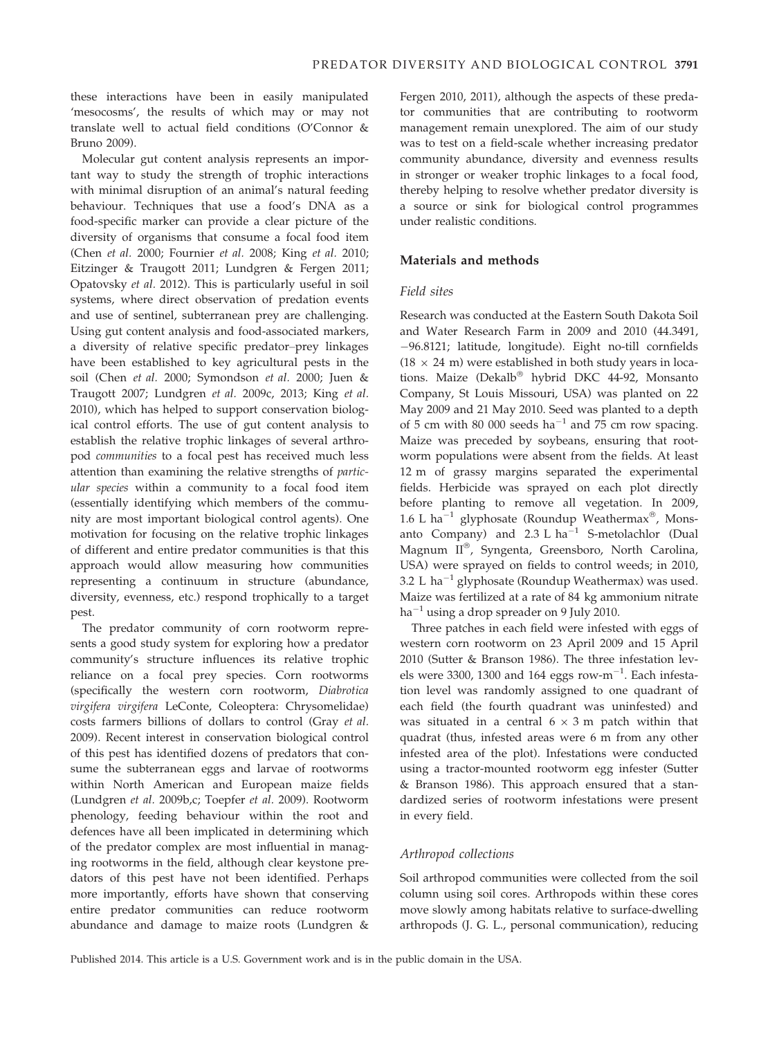these interactions have been in easily manipulated 'mesocosms', the results of which may or may not translate well to actual field conditions (O'Connor & Bruno 2009).

Molecular gut content analysis represents an important way to study the strength of trophic interactions with minimal disruption of an animal's natural feeding behaviour. Techniques that use a food's DNA as a food-specific marker can provide a clear picture of the diversity of organisms that consume a focal food item (Chen et al. 2000; Fournier et al. 2008; King et al. 2010; Eitzinger & Traugott 2011; Lundgren & Fergen 2011; Opatovsky et al. 2012). This is particularly useful in soil systems, where direct observation of predation events and use of sentinel, subterranean prey are challenging. Using gut content analysis and food-associated markers, a diversity of relative specific predator–prey linkages have been established to key agricultural pests in the soil (Chen et al. 2000; Symondson et al. 2000; Juen & Traugott 2007; Lundgren et al. 2009c, 2013; King et al. 2010), which has helped to support conservation biological control efforts. The use of gut content analysis to establish the relative trophic linkages of several arthropod communities to a focal pest has received much less attention than examining the relative strengths of particular species within a community to a focal food item (essentially identifying which members of the community are most important biological control agents). One motivation for focusing on the relative trophic linkages of different and entire predator communities is that this approach would allow measuring how communities representing a continuum in structure (abundance, diversity, evenness, etc.) respond trophically to a target pest.

The predator community of corn rootworm represents a good study system for exploring how a predator community's structure influences its relative trophic reliance on a focal prey species. Corn rootworms (specifically the western corn rootworm, Diabrotica virgifera virgifera LeConte, Coleoptera: Chrysomelidae) costs farmers billions of dollars to control (Gray et al. 2009). Recent interest in conservation biological control of this pest has identified dozens of predators that consume the subterranean eggs and larvae of rootworms within North American and European maize fields (Lundgren et al. 2009b,c; Toepfer et al. 2009). Rootworm phenology, feeding behaviour within the root and defences have all been implicated in determining which of the predator complex are most influential in managing rootworms in the field, although clear keystone predators of this pest have not been identified. Perhaps more importantly, efforts have shown that conserving entire predator communities can reduce rootworm abundance and damage to maize roots (Lundgren &

Fergen 2010, 2011), although the aspects of these predator communities that are contributing to rootworm management remain unexplored. The aim of our study was to test on a field-scale whether increasing predator community abundance, diversity and evenness results in stronger or weaker trophic linkages to a focal food, thereby helping to resolve whether predator diversity is a source or sink for biological control programmes under realistic conditions.

## Materials and methods

#### Field sites

Research was conducted at the Eastern South Dakota Soil and Water Research Farm in 2009 and 2010 (44.3491, 96.8121; latitude, longitude). Eight no-till cornfields  $(18 \times 24 \text{ m})$  were established in both study years in locations. Maize (Dekalb® hybrid DKC 44-92, Monsanto Company, St Louis Missouri, USA) was planted on 22 May 2009 and 21 May 2010. Seed was planted to a depth of 5 cm with 80 000 seeds ha<sup>-1</sup> and 75 cm row spacing. Maize was preceded by soybeans, ensuring that rootworm populations were absent from the fields. At least 12 m of grassy margins separated the experimental fields. Herbicide was sprayed on each plot directly before planting to remove all vegetation. In 2009, 1.6 L ha<sup>-1</sup> glyphosate (Roundup Weathermax<sup>®</sup>, Monsanto Company) and  $2.3 \text{ L} \text{ ha}^{-1}$  S-metolachlor (Dual Magnum II<sup>®</sup>, Syngenta, Greensboro, North Carolina, USA) were sprayed on fields to control weeds; in 2010, 3.2 L ha<sup>-1</sup> glyphosate (Roundup Weathermax) was used. Maize was fertilized at a rate of 84 kg ammonium nitrate  $ha^{-1}$  using a drop spreader on 9 July 2010.

Three patches in each field were infested with eggs of western corn rootworm on 23 April 2009 and 15 April 2010 (Sutter & Branson 1986). The three infestation levels were 3300, 1300 and 164 eggs row- $m^{-1}$ . Each infestation level was randomly assigned to one quadrant of each field (the fourth quadrant was uninfested) and was situated in a central  $6 \times 3$  m patch within that quadrat (thus, infested areas were 6 m from any other infested area of the plot). Infestations were conducted using a tractor-mounted rootworm egg infester (Sutter & Branson 1986). This approach ensured that a standardized series of rootworm infestations were present in every field.

#### Arthropod collections

Soil arthropod communities were collected from the soil column using soil cores. Arthropods within these cores move slowly among habitats relative to surface-dwelling arthropods (J. G. L., personal communication), reducing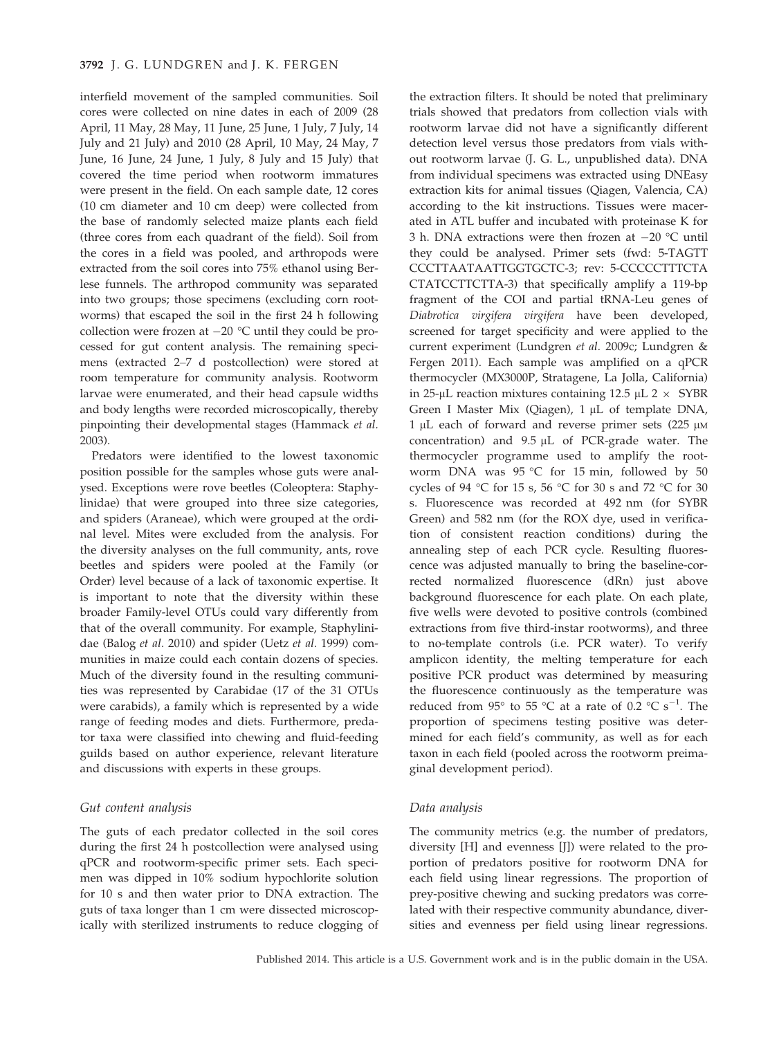interfield movement of the sampled communities. Soil cores were collected on nine dates in each of 2009 (28 April, 11 May, 28 May, 11 June, 25 June, 1 July, 7 July, 14 July and 21 July) and 2010 (28 April, 10 May, 24 May, 7 June, 16 June, 24 June, 1 July, 8 July and 15 July) that covered the time period when rootworm immatures were present in the field. On each sample date, 12 cores (10 cm diameter and 10 cm deep) were collected from the base of randomly selected maize plants each field (three cores from each quadrant of the field). Soil from the cores in a field was pooled, and arthropods were extracted from the soil cores into 75% ethanol using Berlese funnels. The arthropod community was separated into two groups; those specimens (excluding corn rootworms) that escaped the soil in the first 24 h following collection were frozen at  $-20$  °C until they could be processed for gut content analysis. The remaining specimens (extracted 2–7 d postcollection) were stored at room temperature for community analysis. Rootworm larvae were enumerated, and their head capsule widths and body lengths were recorded microscopically, thereby pinpointing their developmental stages (Hammack et al. 2003).

Predators were identified to the lowest taxonomic position possible for the samples whose guts were analysed. Exceptions were rove beetles (Coleoptera: Staphylinidae) that were grouped into three size categories, and spiders (Araneae), which were grouped at the ordinal level. Mites were excluded from the analysis. For the diversity analyses on the full community, ants, rove beetles and spiders were pooled at the Family (or Order) level because of a lack of taxonomic expertise. It is important to note that the diversity within these broader Family-level OTUs could vary differently from that of the overall community. For example, Staphylinidae (Balog et al. 2010) and spider (Uetz et al. 1999) communities in maize could each contain dozens of species. Much of the diversity found in the resulting communities was represented by Carabidae (17 of the 31 OTUs were carabids), a family which is represented by a wide range of feeding modes and diets. Furthermore, predator taxa were classified into chewing and fluid-feeding guilds based on author experience, relevant literature and discussions with experts in these groups.

## Gut content analysis

The guts of each predator collected in the soil cores during the first 24 h postcollection were analysed using qPCR and rootworm-specific primer sets. Each specimen was dipped in 10% sodium hypochlorite solution for 10 s and then water prior to DNA extraction. The guts of taxa longer than 1 cm were dissected microscopically with sterilized instruments to reduce clogging of

the extraction filters. It should be noted that preliminary trials showed that predators from collection vials with rootworm larvae did not have a significantly different detection level versus those predators from vials without rootworm larvae (J. G. L., unpublished data). DNA from individual specimens was extracted using DNEasy extraction kits for animal tissues (Qiagen, Valencia, CA) according to the kit instructions. Tissues were macerated in ATL buffer and incubated with proteinase K for 3 h. DNA extractions were then frozen at  $-20$  °C until they could be analysed. Primer sets (fwd: 5-TAGTT CCCTTAATAATTGGTGCTC-3; rev: 5-CCCCCTTTCTA CTATCCTTCTTA-3) that specifically amplify a 119-bp fragment of the COI and partial tRNA-Leu genes of Diabrotica virgifera virgifera have been developed, screened for target specificity and were applied to the current experiment (Lundgren et al. 2009c; Lundgren & Fergen 2011). Each sample was amplified on a qPCR thermocycler (MX3000P, Stratagene, La Jolla, California) in 25-µL reaction mixtures containing 12.5 µL 2  $\times$  SYBR Green I Master Mix (Qiagen), 1 µL of template DNA, 1  $\mu$ L each of forward and reverse primer sets (225  $\mu$ M concentration) and  $9.5 \mu L$  of PCR-grade water. The thermocycler programme used to amplify the rootworm DNA was 95 °C for 15 min, followed by 50 cycles of 94 °C for 15 s, 56 °C for 30 s and 72 °C for 30 s. Fluorescence was recorded at 492 nm (for SYBR Green) and 582 nm (for the ROX dye, used in verification of consistent reaction conditions) during the annealing step of each PCR cycle. Resulting fluorescence was adjusted manually to bring the baseline-corrected normalized fluorescence (dRn) just above background fluorescence for each plate. On each plate, five wells were devoted to positive controls (combined extractions from five third-instar rootworms), and three to no-template controls (i.e. PCR water). To verify amplicon identity, the melting temperature for each positive PCR product was determined by measuring the fluorescence continuously as the temperature was reduced from 95 $^{\circ}$  to 55  $^{\circ}$ C at a rate of 0.2  $^{\circ}$ C s<sup>-1</sup>. The proportion of specimens testing positive was determined for each field's community, as well as for each taxon in each field (pooled across the rootworm preimaginal development period).

#### Data analysis

The community metrics (e.g. the number of predators, diversity [H] and evenness [J]) were related to the proportion of predators positive for rootworm DNA for each field using linear regressions. The proportion of prey-positive chewing and sucking predators was correlated with their respective community abundance, diversities and evenness per field using linear regressions.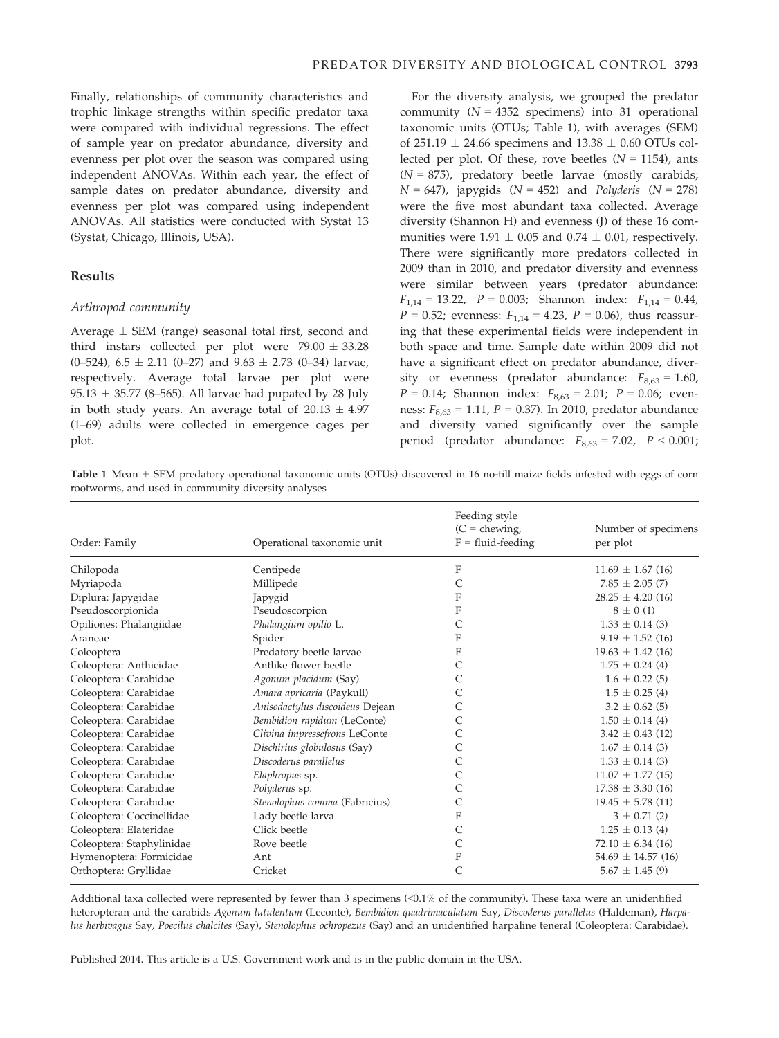Finally, relationships of community characteristics and trophic linkage strengths within specific predator taxa were compared with individual regressions. The effect of sample year on predator abundance, diversity and evenness per plot over the season was compared using independent ANOVAs. Within each year, the effect of sample dates on predator abundance, diversity and evenness per plot was compared using independent ANOVAs. All statistics were conducted with Systat 13 (Systat, Chicago, Illinois, USA).

#### Results

#### Arthropod community

Average  $\pm$  SEM (range) seasonal total first, second and third instars collected per plot were  $79.00 \pm 33.28$  $(0-524)$ , 6.5  $\pm$  2.11 (0-27) and 9.63  $\pm$  2.73 (0-34) larvae, respectively. Average total larvae per plot were  $95.13 \pm 35.77$  (8–565). All larvae had pupated by 28 July in both study years. An average total of  $20.13 \pm 4.97$ (1–69) adults were collected in emergence cages per plot.

For the diversity analysis, we grouped the predator community  $(N = 4352$  specimens) into 31 operational taxonomic units (OTUs; Table 1), with averages (SEM) of 251.19  $\pm$  24.66 specimens and 13.38  $\pm$  0.60 OTUs collected per plot. Of these, rove beetles  $(N = 1154)$ , ants  $(N = 875)$ , predatory beetle larvae (mostly carabids;  $N = 647$ ), japygids ( $N = 452$ ) and *Polyderis* ( $N = 278$ ) were the five most abundant taxa collected. Average diversity (Shannon H) and evenness (J) of these 16 communities were  $1.91 \pm 0.05$  and  $0.74 \pm 0.01$ , respectively. There were significantly more predators collected in 2009 than in 2010, and predator diversity and evenness were similar between years (predator abundance:  $F_{1,14} = 13.22$ ,  $P = 0.003$ ; Shannon index:  $F_{1,14} = 0.44$ ,  $P = 0.52$ ; evenness:  $F_{1,14} = 4.23$ ,  $P = 0.06$ ), thus reassuring that these experimental fields were independent in both space and time. Sample date within 2009 did not have a significant effect on predator abundance, diversity or evenness (predator abundance:  $F_{8,63} = 1.60$ ,  $P = 0.14$ ; Shannon index:  $F_{8,63} = 2.01$ ;  $P = 0.06$ ; evenness:  $F_{8,63} = 1.11$ ,  $P = 0.37$ ). In 2010, predator abundance and diversity varied significantly over the sample period (predator abundance:  $F_{8,63} = 7.02$ ,  $P < 0.001$ ;

Table 1 Mean  $\pm$  SEM predatory operational taxonomic units (OTUs) discovered in 16 no-till maize fields infested with eggs of corn rootworms, and used in community diversity analyses

| Order: Family             | Operational taxonomic unit      | Feeding style<br>$(C = \text{chewing},$<br>$F = fluid-feeding$ | Number of specimens<br>per plot |
|---------------------------|---------------------------------|----------------------------------------------------------------|---------------------------------|
| Chilopoda                 | Centipede                       | $\mathbf F$                                                    | $11.69 \pm 1.67$ (16)           |
| Myriapoda                 | Millipede                       | С                                                              | $7.85 \pm 2.05$ (7)             |
| Diplura: Japygidae        | Japygid                         | F                                                              | $28.25 \pm 4.20$ (16)           |
| Pseudoscorpionida         | Pseudoscorpion                  | $\mathbf F$                                                    | $8 \pm 0(1)$                    |
| Opiliones: Phalangiidae   | Phalangium opilio L.            | C                                                              | $1.33 \pm 0.14$ (3)             |
| Araneae                   | Spider                          | F                                                              | $9.19 \pm 1.52$ (16)            |
| Coleoptera                | Predatory beetle larvae         | F                                                              | $19.63 \pm 1.42$ (16)           |
| Coleoptera: Anthicidae    | Antlike flower beetle           | C                                                              | $1.75 \pm 0.24$ (4)             |
| Coleoptera: Carabidae     | Agonum placidum (Say)           | С                                                              | $1.6 \pm 0.22$ (5)              |
| Coleoptera: Carabidae     | Amara apricaria (Paykull)       | $\mathsf{C}$                                                   | $1.5 \pm 0.25$ (4)              |
| Coleoptera: Carabidae     | Anisodactylus discoideus Dejean | C                                                              | $3.2 \pm 0.62$ (5)              |
| Coleoptera: Carabidae     | Bembidion rapidum (LeConte)     | С                                                              | $1.50 \pm 0.14$ (4)             |
| Coleoptera: Carabidae     | Clivina impressefrons LeConte   | C                                                              | $3.42 \pm 0.43$ (12)            |
| Coleoptera: Carabidae     | Dischirius globulosus (Say)     | C                                                              | $1.67 \pm 0.14$ (3)             |
| Coleoptera: Carabidae     | Discoderus parallelus           | C                                                              | $1.33 \pm 0.14$ (3)             |
| Coleoptera: Carabidae     | Elaphropus sp.                  | C                                                              | $11.07 \pm 1.77$ (15)           |
| Coleoptera: Carabidae     | Polyderus sp.                   | $\mathsf{C}$                                                   | $17.38 \pm 3.30(16)$            |
| Coleoptera: Carabidae     | Stenolophus comma (Fabricius)   | C                                                              | $19.45 \pm 5.78$ (11)           |
| Coleoptera: Coccinellidae | Lady beetle larva               | F                                                              | $3 \pm 0.71$ (2)                |
| Coleoptera: Elateridae    | Click beetle                    | C                                                              | $1.25 \pm 0.13$ (4)             |
| Coleoptera: Staphylinidae | Rove beetle                     | C                                                              | $72.10 \pm 6.34$ (16)           |
| Hymenoptera: Formicidae   | Ant                             | F                                                              | $54.69 \pm 14.57$ (16)          |
| Orthoptera: Gryllidae     | Cricket                         | $\mathsf{C}$                                                   | $5.67 \pm 1.45$ (9)             |

Additional taxa collected were represented by fewer than 3 specimens (<0.1% of the community). These taxa were an unidentified heteropteran and the carabids Agonum lutulentum (Leconte), Bembidion quadrimaculatum Say, Discoderus parallelus (Haldeman), Harpalus herbivagus Say, Poecilus chalcites (Say), Stenolophus ochropezus (Say) and an unidentified harpaline teneral (Coleoptera: Carabidae).

Published 2014. This article is a U.S. Government work and is in the public domain in the USA.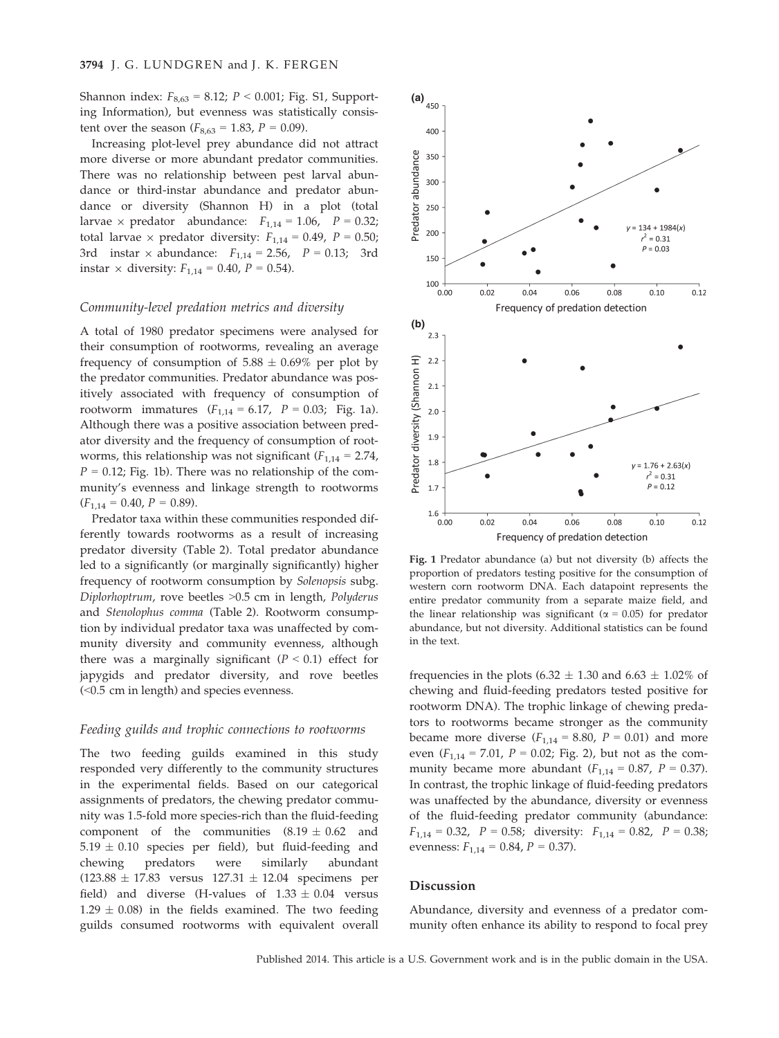Shannon index:  $F_{8,63} = 8.12$ ;  $P < 0.001$ ; Fig. S1, Supporting Information), but evenness was statistically consistent over the season ( $F_{8,63} = 1.83$ ,  $P = 0.09$ ).

Increasing plot-level prey abundance did not attract more diverse or more abundant predator communities. There was no relationship between pest larval abundance or third-instar abundance and predator abundance or diversity (Shannon H) in a plot (total larvae  $\times$  predator abundance:  $F_{1,14} = 1.06$ ,  $P = 0.32$ ; total larvae  $\times$  predator diversity:  $F_{1,14} = 0.49$ ,  $P = 0.50$ ; 3rd instar  $\times$  abundance:  $F_{1,14} = 2.56$ ,  $P = 0.13$ ; 3rd instar  $\times$  diversity:  $F_{1,14} = 0.40$ ,  $P = 0.54$ ).

#### Community-level predation metrics and diversity

A total of 1980 predator specimens were analysed for their consumption of rootworms, revealing an average frequency of consumption of  $5.88 \pm 0.69\%$  per plot by the predator communities. Predator abundance was positively associated with frequency of consumption of rootworm immatures  $(F_{1,14} = 6.17, P = 0.03;$  Fig. 1a). Although there was a positive association between predator diversity and the frequency of consumption of rootworms, this relationship was not significant ( $F_{1,14} = 2.74$ ,  $P = 0.12$ ; Fig. 1b). There was no relationship of the community's evenness and linkage strength to rootworms  $(F_{1,14} = 0.40, P = 0.89).$ 

Predator taxa within these communities responded differently towards rootworms as a result of increasing predator diversity (Table 2). Total predator abundance led to a significantly (or marginally significantly) higher frequency of rootworm consumption by Solenopsis subg. Diplorhoptrum, rove beetles >0.5 cm in length, Polyderus and Stenolophus comma (Table 2). Rootworm consumption by individual predator taxa was unaffected by community diversity and community evenness, although there was a marginally significant  $(P < 0.1)$  effect for japygids and predator diversity, and rove beetles (<0.5 cm in length) and species evenness.

## Feeding guilds and trophic connections to rootworms

The two feeding guilds examined in this study responded very differently to the community structures in the experimental fields. Based on our categorical assignments of predators, the chewing predator community was 1.5-fold more species-rich than the fluid-feeding component of the communities  $(8.19 \pm 0.62$  and  $5.19 \pm 0.10$  species per field), but fluid-feeding and chewing predators were similarly abundant predators  $(123.88 \pm 17.83$  versus  $127.31 \pm 12.04$  specimens per field) and diverse (H-values of  $1.33 \pm 0.04$  versus  $1.29 \pm 0.08$ ) in the fields examined. The two feeding guilds consumed rootworms with equivalent overall



Fig. 1 Predator abundance (a) but not diversity (b) affects the proportion of predators testing positive for the consumption of western corn rootworm DNA. Each datapoint represents the entire predator community from a separate maize field, and the linear relationship was significant ( $\alpha = 0.05$ ) for predator abundance, but not diversity. Additional statistics can be found in the text.

frequencies in the plots (6.32  $\pm$  1.30 and 6.63  $\pm$  1.02% of chewing and fluid-feeding predators tested positive for rootworm DNA). The trophic linkage of chewing predators to rootworms became stronger as the community became more diverse  $(F_{1,14} = 8.80, P = 0.01)$  and more even  $(F_{1,14} = 7.01, P = 0.02; Fig. 2)$ , but not as the community became more abundant  $(F_{1,14} = 0.87, P = 0.37)$ . In contrast, the trophic linkage of fluid-feeding predators was unaffected by the abundance, diversity or evenness of the fluid-feeding predator community (abundance:  $F_{1,14} = 0.32$ ,  $P = 0.58$ ; diversity:  $F_{1,14} = 0.82$ ,  $P = 0.38$ ; evenness:  $F_{1,14} = 0.84$ ,  $P = 0.37$ ).

#### Discussion

Abundance, diversity and evenness of a predator community often enhance its ability to respond to focal prey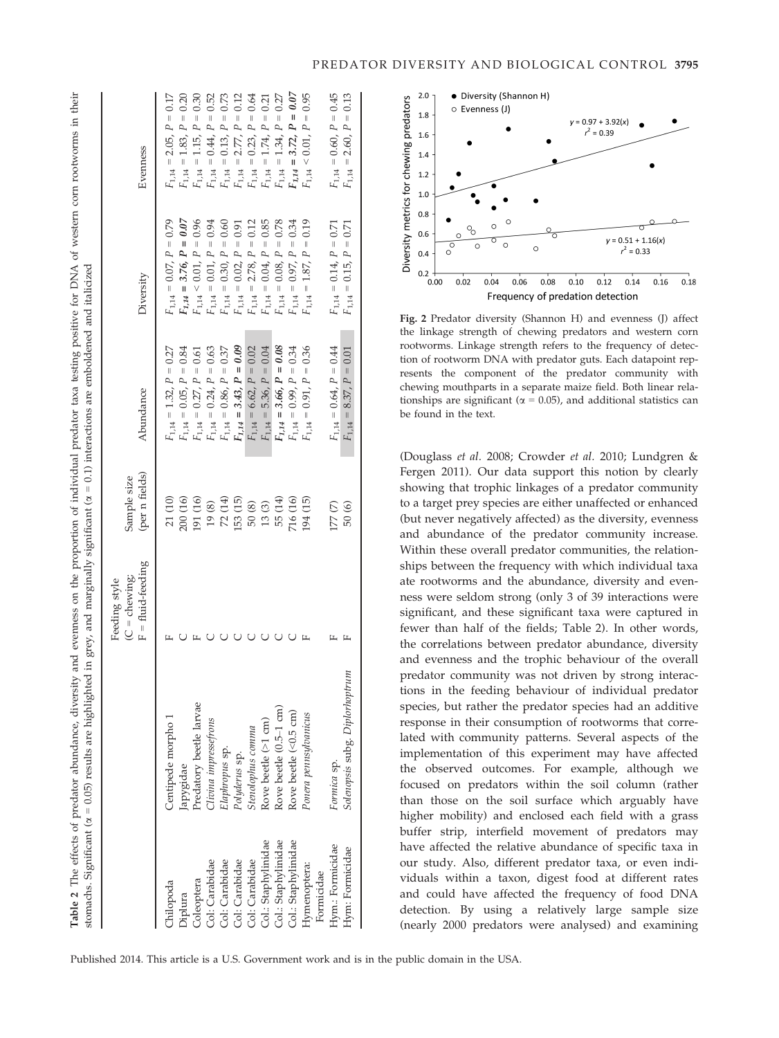Table 2 The effects of predator abundance, diversity and evenness on the proportion of individual predator taxa testing positive for DNA of western corn rootworms in their The effects of predator abundance, diversity and evenness on the proportion of individual predator taxa testing positive for DNA of western corn rootworms in their stomachs. Significant ( $\alpha$  = 0.05) results are highlighted in grey, and marginally significant ( $\alpha$  = 0.1) interactions are emboldened and italicized stomachs. Significant (a = 0.05) results are highlighted in grey, and marginally significant (a = 0.1) interactions are emboldened and italicized

|                     |                                | $F = fluid-feeding$<br>$(C =$ chewing:<br>Feeding style | (per n fields)<br>Sample size   | Abundance                            | Diversity                                                                                                                                                                                                                                                   | Evenness                                                                                                                             |
|---------------------|--------------------------------|---------------------------------------------------------|---------------------------------|--------------------------------------|-------------------------------------------------------------------------------------------------------------------------------------------------------------------------------------------------------------------------------------------------------------|--------------------------------------------------------------------------------------------------------------------------------------|
| <b>Chilopoda</b>    | Centipede morpho 1             |                                                         | 21 (10)                         | $F_{1,14} = 1.32, P = 0.27$          | $F_{1,14} = 0.07, P = 0.79$                                                                                                                                                                                                                                 | $F_{1,14} = 2.05, P = 0.17$                                                                                                          |
| Diplura             | apygidae                       |                                                         | 200 (16)                        | $F_{1,14} = 0.05, P = 0.84$          | $F_{1,14} = 3.76, P = 0.07$                                                                                                                                                                                                                                 | $F_{1,14} = 1.83, P = 0.20$                                                                                                          |
| <b>Coleoptera</b>   | Predatory beetle larvae        |                                                         | (16)<br>191                     | $F_{1,14} = 0.27, P = 0.61$          |                                                                                                                                                                                                                                                             |                                                                                                                                      |
| Col: Carabidae      | Clivina impressefrons          |                                                         | $19(8)$                         | $F_{1,14} = 0.24, P = 0.63$          | $\begin{array}{l} F_{1,14} < 0.01, \, P = 0.96 \\ F_{1,14} = 0.01, \, P = 0.94 \\ F_{1,14} = 0.30, \, P = 0.60 \\ F_{1,14} = 0.02, \, P = 0.91 \\ F_{1,14} = 2.78, \, P = 0.12 \\ F_{1,14} = 2.78, \, P = 0.12 \\ F_{1,14} = 0.04, \, P = 0.85 \end{array}$ |                                                                                                                                      |
| Col: Carabidae      | Elaphropus sp.                 |                                                         | (14)<br>$\overline{\mathbb{Z}}$ | $F_{1,14} = 0.86, P = 0.37$          |                                                                                                                                                                                                                                                             | $\begin{array}{l} F_{1,14}=1.15,\, P=0.30\\ F_{1,14}=0.44,\, P=0.52\\ F_{1,14}=0.13,\, P=0.73\\ F_{1,14}=2.77,\, P=0.12 \end{array}$ |
| Col: Carabidae      | Polyderus sp.                  |                                                         | 153 (15)                        | $F_{1,14} = 3.43, P = 0.09$          |                                                                                                                                                                                                                                                             |                                                                                                                                      |
| Col: Carabidae      | stenolophus comma              |                                                         | $\circledS$<br>50               | $F_{1,14} = 6.62, P = 0.02$          |                                                                                                                                                                                                                                                             | $F_{1,14} = 0.23, P = 0.64$                                                                                                          |
| Col.: Staphylinidae | Rove beetle (>1 cm)            | $\cup$ $\cup$ $\cup$                                    | $\odot$<br>13                   | $5.36, P = 0.04$<br>$F_{1,14}$ = $"$ |                                                                                                                                                                                                                                                             | $F_{1,14} = 1.74, P = 0.21$                                                                                                          |
| Col.: Staphylinidae | Rove beetle (0.5-1 cm)         |                                                         | 55 (14)                         | $F_{1,14} = 3.66, P = 0.08$          | $F_{1,14} = 0.08, P = 0.78$                                                                                                                                                                                                                                 | $F_{1,14} = 1.34, P = 0.27$                                                                                                          |
| Col.: Staphylinidae | Rove beetle (<0.5 cm)          | U U                                                     | 716 (16)                        | $F_{1,14} = 0.99, P = 0.34$          | $F_{1,14} = 0.97, P = 0.34$                                                                                                                                                                                                                                 | $F_{1,14} = 3.72, P = 0.07$                                                                                                          |
| Hymenoptera:        | Ponera pennsylvanicus          |                                                         | (15)<br>94                      | $F_{1,14} = 0.91, P = 0.36$          | $F_{1,14} = 1.87, P = 0.19$                                                                                                                                                                                                                                 | $F_{1,14}$ < 0.01, $P = 0.95$                                                                                                        |
| Formicidae          |                                |                                                         |                                 |                                      |                                                                                                                                                                                                                                                             |                                                                                                                                      |
| Hym.: Formicidae    | Fornica sp.                    |                                                         | 177 (7)                         | $F_{1,14} = 0.64, P = 0.44$          |                                                                                                                                                                                                                                                             | $F_{1,14} = 0.60, P = 0.45$                                                                                                          |
| Hym: Formicidae     | Solenopsis subg. Diplorhoptrum |                                                         | 50(6)                           | $F_{1,14} = 8.37, P = 0.01$          | $\begin{aligned} F_{1,14} &= 0.14, \, P = 0.71 \\ F_{1,14} &= 0.15, \, P = 0.71 \end{aligned}$                                                                                                                                                              | $F_{1,14} = 2.60, P = 0.13$                                                                                                          |
|                     |                                |                                                         |                                 |                                      |                                                                                                                                                                                                                                                             |                                                                                                                                      |



Fig. 2 Predator diversity (Shannon H) and evenness (J) affect the linkage strength of chewing predators and western corn rootworms. Linkage strength refers to the frequency of detection of rootworm DNA with predator guts. Each datapoint represents the component of the predator community with chewing mouthparts in a separate maize field. Both linear relationships are significant ( $\alpha$  = 0.05), and additional statistics can be found in the text.

(Douglass et al. 2008; Crowder et al. 2010; Lundgren & Fergen 2011). Our data support this notion by clearly showing that trophic linkages of a predator community to a target prey species are either unaffected or enhanced (but never negatively affected) as the diversity, evenness and abundance of the predator community increase. Within these overall predator communities, the relationships between the frequency with which individual taxa ate rootworms and the abundance, diversity and evenness were seldom strong (only 3 of 39 interactions were significant, and these significant taxa were captured in fewer than half of the fields; Table 2). In other words, the correlations between predator abundance, diversity and evenness and the trophic behaviour of the overall predator community was not driven by strong interactions in the feeding behaviour of individual predator species, but rather the predator species had an additive response in their consumption of rootworms that correlated with community patterns. Several aspects of the implementation of this experiment may have affected the observed outcomes. For example, although we focused on predators within the soil column (rather than those on the soil surface which arguably have higher mobility) and enclosed each field with a grass buffer strip, interfield movement of predators may have affected the relative abundance of specific taxa in our study. Also, different predator taxa, or even individuals within a taxon, digest food at different rates and could have affected the frequency of food DNA detection. By using a relatively large sample size (nearly 2000 predators were analysed) and examining

Published 2014. This article is a U.S. Government work and is in the public domain in the USA.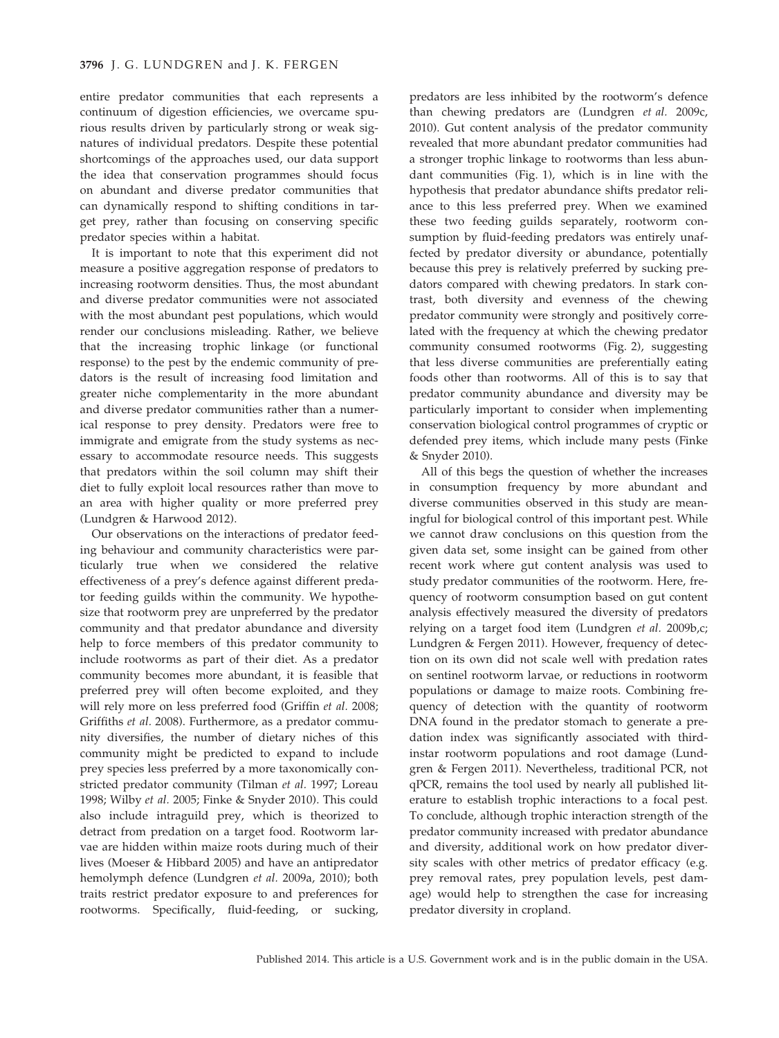entire predator communities that each represents a continuum of digestion efficiencies, we overcame spurious results driven by particularly strong or weak signatures of individual predators. Despite these potential shortcomings of the approaches used, our data support the idea that conservation programmes should focus on abundant and diverse predator communities that can dynamically respond to shifting conditions in target prey, rather than focusing on conserving specific predator species within a habitat.

It is important to note that this experiment did not measure a positive aggregation response of predators to increasing rootworm densities. Thus, the most abundant and diverse predator communities were not associated with the most abundant pest populations, which would render our conclusions misleading. Rather, we believe that the increasing trophic linkage (or functional response) to the pest by the endemic community of predators is the result of increasing food limitation and greater niche complementarity in the more abundant and diverse predator communities rather than a numerical response to prey density. Predators were free to immigrate and emigrate from the study systems as necessary to accommodate resource needs. This suggests that predators within the soil column may shift their diet to fully exploit local resources rather than move to an area with higher quality or more preferred prey (Lundgren & Harwood 2012).

Our observations on the interactions of predator feeding behaviour and community characteristics were particularly true when we considered the relative effectiveness of a prey's defence against different predator feeding guilds within the community. We hypothesize that rootworm prey are unpreferred by the predator community and that predator abundance and diversity help to force members of this predator community to include rootworms as part of their diet. As a predator community becomes more abundant, it is feasible that preferred prey will often become exploited, and they will rely more on less preferred food (Griffin et al. 2008; Griffiths et al. 2008). Furthermore, as a predator community diversifies, the number of dietary niches of this community might be predicted to expand to include prey species less preferred by a more taxonomically constricted predator community (Tilman et al. 1997; Loreau 1998; Wilby et al. 2005; Finke & Snyder 2010). This could also include intraguild prey, which is theorized to detract from predation on a target food. Rootworm larvae are hidden within maize roots during much of their lives (Moeser & Hibbard 2005) and have an antipredator hemolymph defence (Lundgren et al. 2009a, 2010); both traits restrict predator exposure to and preferences for rootworms. Specifically, fluid-feeding, or sucking,

predators are less inhibited by the rootworm's defence than chewing predators are (Lundgren et al. 2009c, 2010). Gut content analysis of the predator community revealed that more abundant predator communities had a stronger trophic linkage to rootworms than less abundant communities (Fig. 1), which is in line with the hypothesis that predator abundance shifts predator reliance to this less preferred prey. When we examined these two feeding guilds separately, rootworm consumption by fluid-feeding predators was entirely unaffected by predator diversity or abundance, potentially because this prey is relatively preferred by sucking predators compared with chewing predators. In stark contrast, both diversity and evenness of the chewing predator community were strongly and positively correlated with the frequency at which the chewing predator community consumed rootworms (Fig. 2), suggesting that less diverse communities are preferentially eating foods other than rootworms. All of this is to say that predator community abundance and diversity may be particularly important to consider when implementing conservation biological control programmes of cryptic or defended prey items, which include many pests (Finke & Snyder 2010).

All of this begs the question of whether the increases in consumption frequency by more abundant and diverse communities observed in this study are meaningful for biological control of this important pest. While we cannot draw conclusions on this question from the given data set, some insight can be gained from other recent work where gut content analysis was used to study predator communities of the rootworm. Here, frequency of rootworm consumption based on gut content analysis effectively measured the diversity of predators relying on a target food item (Lundgren et al. 2009b,c; Lundgren & Fergen 2011). However, frequency of detection on its own did not scale well with predation rates on sentinel rootworm larvae, or reductions in rootworm populations or damage to maize roots. Combining frequency of detection with the quantity of rootworm DNA found in the predator stomach to generate a predation index was significantly associated with thirdinstar rootworm populations and root damage (Lundgren & Fergen 2011). Nevertheless, traditional PCR, not qPCR, remains the tool used by nearly all published literature to establish trophic interactions to a focal pest. To conclude, although trophic interaction strength of the predator community increased with predator abundance and diversity, additional work on how predator diversity scales with other metrics of predator efficacy (e.g. prey removal rates, prey population levels, pest damage) would help to strengthen the case for increasing predator diversity in cropland.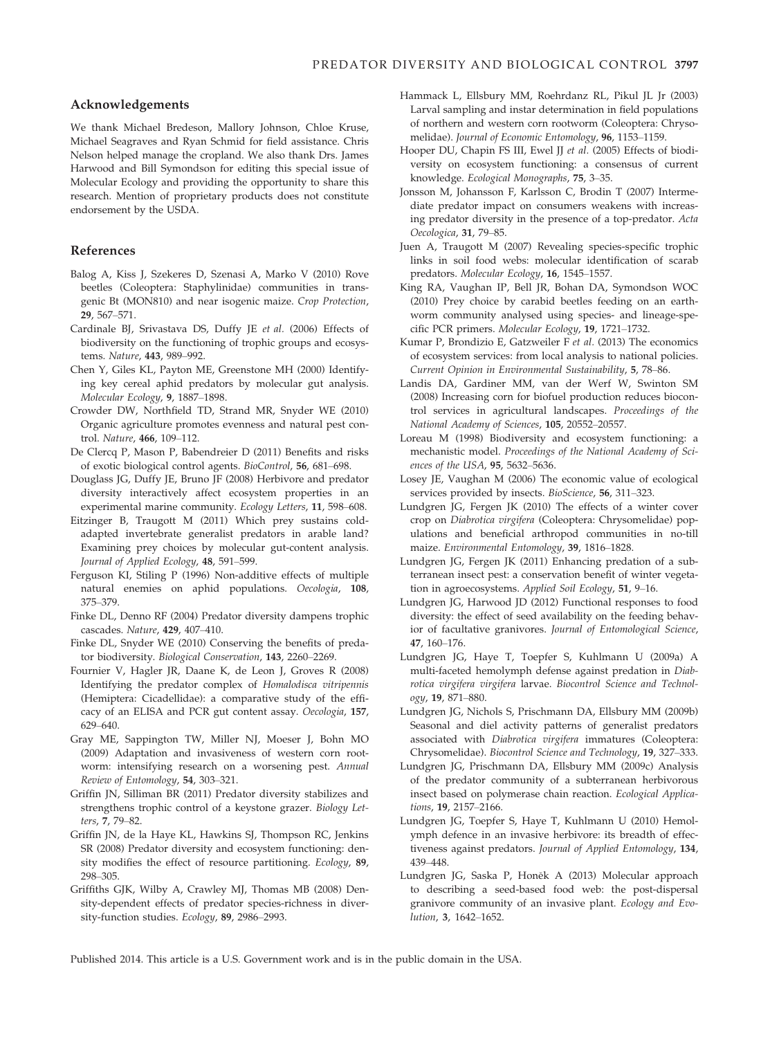## Acknowledgements

We thank Michael Bredeson, Mallory Johnson, Chloe Kruse, Michael Seagraves and Ryan Schmid for field assistance. Chris Nelson helped manage the cropland. We also thank Drs. James Harwood and Bill Symondson for editing this special issue of Molecular Ecology and providing the opportunity to share this research. Mention of proprietary products does not constitute endorsement by the USDA.

## References

- Balog A, Kiss J, Szekeres D, Szenasi A, Marko V (2010) Rove beetles (Coleoptera: Staphylinidae) communities in transgenic Bt (MON810) and near isogenic maize. Crop Protection, 29, 567–571.
- Cardinale BJ, Srivastava DS, Duffy JE et al. (2006) Effects of biodiversity on the functioning of trophic groups and ecosystems. Nature, 443, 989–992.
- Chen Y, Giles KL, Payton ME, Greenstone MH (2000) Identifying key cereal aphid predators by molecular gut analysis. Molecular Ecology, 9, 1887–1898.
- Crowder DW, Northfield TD, Strand MR, Snyder WE (2010) Organic agriculture promotes evenness and natural pest control. Nature, 466, 109–112.
- De Clercq P, Mason P, Babendreier D (2011) Benefits and risks of exotic biological control agents. BioControl, 56, 681–698.
- Douglass JG, Duffy JE, Bruno JF (2008) Herbivore and predator diversity interactively affect ecosystem properties in an experimental marine community. Ecology Letters, 11, 598–608.
- Eitzinger B, Traugott M (2011) Which prey sustains coldadapted invertebrate generalist predators in arable land? Examining prey choices by molecular gut-content analysis. Journal of Applied Ecology, 48, 591–599.
- Ferguson KI, Stiling P (1996) Non-additive effects of multiple natural enemies on aphid populations. Oecologia, 108, 375–379.
- Finke DL, Denno RF (2004) Predator diversity dampens trophic cascades. Nature, 429, 407–410.
- Finke DL, Snyder WE (2010) Conserving the benefits of predator biodiversity. Biological Conservation, 143, 2260–2269.
- Fournier V, Hagler JR, Daane K, de Leon J, Groves R (2008) Identifying the predator complex of Homalodisca vitripennis (Hemiptera: Cicadellidae): a comparative study of the efficacy of an ELISA and PCR gut content assay. Oecologia, 157, 629–640.
- Gray ME, Sappington TW, Miller NJ, Moeser J, Bohn MO (2009) Adaptation and invasiveness of western corn rootworm: intensifying research on a worsening pest. Annual Review of Entomology, 54, 303–321.
- Griffin JN, Silliman BR (2011) Predator diversity stabilizes and strengthens trophic control of a keystone grazer. Biology Letters, 7, 79–82.
- Griffin JN, de la Haye KL, Hawkins SJ, Thompson RC, Jenkins SR (2008) Predator diversity and ecosystem functioning: density modifies the effect of resource partitioning. Ecology, 89, 298–305.
- Griffiths GJK, Wilby A, Crawley MJ, Thomas MB (2008) Density-dependent effects of predator species-richness in diversity-function studies. Ecology, 89, 2986–2993.
- Hammack L, Ellsbury MM, Roehrdanz RL, Pikul JL Jr (2003) Larval sampling and instar determination in field populations of northern and western corn rootworm (Coleoptera: Chrysomelidae). Journal of Economic Entomology, 96, 1153–1159.
- Hooper DU, Chapin FS III, Ewel JJ et al. (2005) Effects of biodiversity on ecosystem functioning: a consensus of current knowledge. Ecological Monographs, 75, 3–35.
- Jonsson M, Johansson F, Karlsson C, Brodin T (2007) Intermediate predator impact on consumers weakens with increasing predator diversity in the presence of a top-predator. Acta Oecologica, 31, 79–85.
- Juen A, Traugott M (2007) Revealing species-specific trophic links in soil food webs: molecular identification of scarab predators. Molecular Ecology, 16, 1545–1557.
- King RA, Vaughan IP, Bell JR, Bohan DA, Symondson WOC (2010) Prey choice by carabid beetles feeding on an earthworm community analysed using species- and lineage-specific PCR primers. Molecular Ecology, 19, 1721–1732.
- Kumar P, Brondizio E, Gatzweiler F et al. (2013) The economics of ecosystem services: from local analysis to national policies. Current Opinion in Environmental Sustainability, 5, 78–86.
- Landis DA, Gardiner MM, van der Werf W, Swinton SM (2008) Increasing corn for biofuel production reduces biocontrol services in agricultural landscapes. Proceedings of the National Academy of Sciences, 105, 20552–20557.
- Loreau M (1998) Biodiversity and ecosystem functioning: a mechanistic model. Proceedings of the National Academy of Sciences of the USA, 95, 5632–5636.
- Losey JE, Vaughan M (2006) The economic value of ecological services provided by insects. BioScience, 56, 311-323.
- Lundgren JG, Fergen JK (2010) The effects of a winter cover crop on Diabrotica virgifera (Coleoptera: Chrysomelidae) populations and beneficial arthropod communities in no-till maize. Environmental Entomology, 39, 1816–1828.
- Lundgren JG, Fergen JK (2011) Enhancing predation of a subterranean insect pest: a conservation benefit of winter vegetation in agroecosystems. Applied Soil Ecology, 51, 9-16.
- Lundgren JG, Harwood JD (2012) Functional responses to food diversity: the effect of seed availability on the feeding behavior of facultative granivores. Journal of Entomological Science, 47, 160–176.
- Lundgren JG, Haye T, Toepfer S, Kuhlmann U (2009a) A multi-faceted hemolymph defense against predation in Diabrotica virgifera virgifera larvae. Biocontrol Science and Technology, 19, 871–880.
- Lundgren JG, Nichols S, Prischmann DA, Ellsbury MM (2009b) Seasonal and diel activity patterns of generalist predators associated with Diabrotica virgifera immatures (Coleoptera: Chrysomelidae). Biocontrol Science and Technology, 19, 327–333.
- Lundgren JG, Prischmann DA, Ellsbury MM (2009c) Analysis of the predator community of a subterranean herbivorous insect based on polymerase chain reaction. Ecological Applications, 19, 2157–2166.
- Lundgren JG, Toepfer S, Haye T, Kuhlmann U (2010) Hemolymph defence in an invasive herbivore: its breadth of effectiveness against predators. Journal of Applied Entomology, 134, 439–448.
- Lundgren JG, Saska P, Honěk A (2013) Molecular approach to describing a seed-based food web: the post-dispersal granivore community of an invasive plant. Ecology and Evolution, 3, 1642–1652.

Published 2014. This article is a U.S. Government work and is in the public domain in the USA.